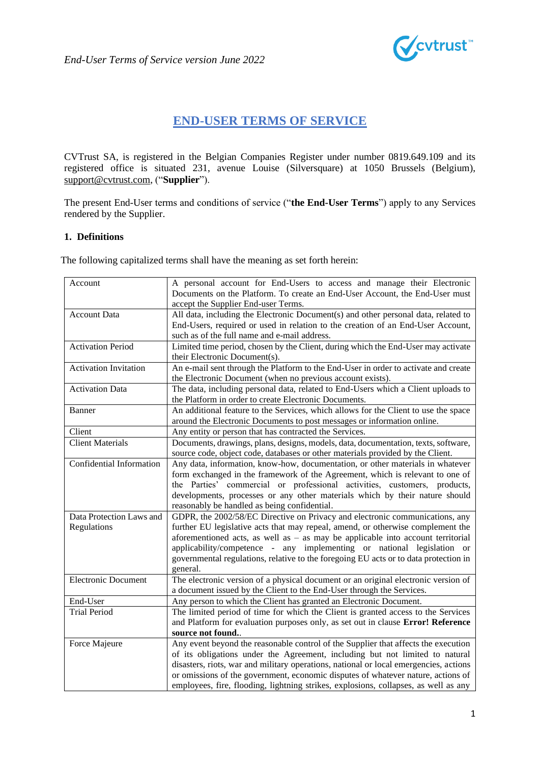

# **END-USER TERMS OF SERVICE**

CVTrust SA, is registered in the Belgian Companies Register under number 0819.649.109 and its registered office is situated 231, avenue Louise (Silversquare) at 1050 Brussels (Belgium), suppor[t@cvtrust.com,](mailto:info@cvtrust.com) ("**Supplier**").

The present End-User terms and conditions of service ("**the End-User Terms**") apply to any Services rendered by the Supplier.

## **1. Definitions**

The following capitalized terms shall have the meaning as set forth herein:

| Account                                                                          | A personal account for End-Users to access and manage their Electronic                |  |  |  |
|----------------------------------------------------------------------------------|---------------------------------------------------------------------------------------|--|--|--|
|                                                                                  | Documents on the Platform. To create an End-User Account, the End-User must           |  |  |  |
|                                                                                  | accept the Supplier End-user Terms.                                                   |  |  |  |
| <b>Account Data</b>                                                              | All data, including the Electronic Document(s) and other personal data, related to    |  |  |  |
|                                                                                  | End-Users, required or used in relation to the creation of an End-User Account,       |  |  |  |
|                                                                                  | such as of the full name and e-mail address.                                          |  |  |  |
| <b>Activation Period</b>                                                         | Limited time period, chosen by the Client, during which the End-User may activate     |  |  |  |
|                                                                                  | their Electronic Document(s).                                                         |  |  |  |
| <b>Activation Invitation</b>                                                     | An e-mail sent through the Platform to the End-User in order to activate and create   |  |  |  |
|                                                                                  | the Electronic Document (when no previous account exists).                            |  |  |  |
| <b>Activation Data</b>                                                           | The data, including personal data, related to End-Users which a Client uploads to     |  |  |  |
|                                                                                  | the Platform in order to create Electronic Documents.                                 |  |  |  |
| <b>Banner</b>                                                                    | An additional feature to the Services, which allows for the Client to use the space   |  |  |  |
|                                                                                  | around the Electronic Documents to post messages or information online.               |  |  |  |
| Client                                                                           | Any entity or person that has contracted the Services.                                |  |  |  |
| <b>Client Materials</b>                                                          | Documents, drawings, plans, designs, models, data, documentation, texts, software,    |  |  |  |
|                                                                                  | source code, object code, databases or other materials provided by the Client.        |  |  |  |
| Confidential Information                                                         | Any data, information, know-how, documentation, or other materials in whatever        |  |  |  |
|                                                                                  | form exchanged in the framework of the Agreement, which is relevant to one of         |  |  |  |
|                                                                                  | the Parties' commercial or professional activities, customers, products,              |  |  |  |
|                                                                                  | developments, processes or any other materials which by their nature should           |  |  |  |
|                                                                                  | reasonably be handled as being confidential.                                          |  |  |  |
| Data Protection Laws and                                                         | GDPR, the 2002/58/EC Directive on Privacy and electronic communications, any          |  |  |  |
| Regulations                                                                      | further EU legislative acts that may repeal, amend, or otherwise complement the       |  |  |  |
|                                                                                  | aforementioned acts, as well as $-$ as may be applicable into account territorial     |  |  |  |
|                                                                                  | applicability/competence - any implementing or national legislation or                |  |  |  |
|                                                                                  | governmental regulations, relative to the foregoing EU acts or to data protection in  |  |  |  |
|                                                                                  | general.                                                                              |  |  |  |
| <b>Electronic Document</b>                                                       | The electronic version of a physical document or an original electronic version of    |  |  |  |
|                                                                                  | a document issued by the Client to the End-User through the Services.                 |  |  |  |
| End-User                                                                         | Any person to which the Client has granted an Electronic Document.                    |  |  |  |
| <b>Trial Period</b>                                                              | The limited period of time for which the Client is granted access to the Services     |  |  |  |
| and Platform for evaluation purposes only, as set out in clause Error! Reference |                                                                                       |  |  |  |
|                                                                                  | source not found                                                                      |  |  |  |
| Force Majeure                                                                    | Any event beyond the reasonable control of the Supplier that affects the execution    |  |  |  |
|                                                                                  | of its obligations under the Agreement, including but not limited to natural          |  |  |  |
|                                                                                  | disasters, riots, war and military operations, national or local emergencies, actions |  |  |  |
|                                                                                  | or omissions of the government, economic disputes of whatever nature, actions of      |  |  |  |
|                                                                                  | employees, fire, flooding, lightning strikes, explosions, collapses, as well as any   |  |  |  |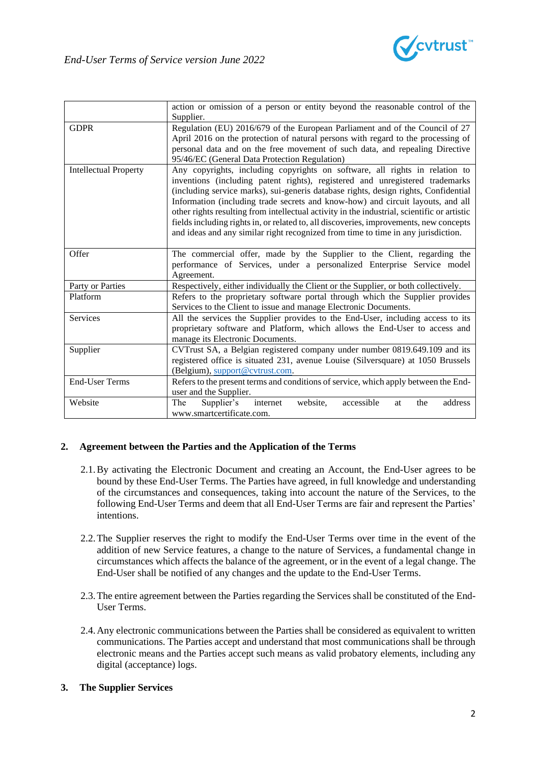

|                              | action or omission of a person or entity beyond the reasonable control of the<br>Supplier.                                                                                                                                                                                                                                                                                                                                                                                                                                                                                                                          |  |  |  |
|------------------------------|---------------------------------------------------------------------------------------------------------------------------------------------------------------------------------------------------------------------------------------------------------------------------------------------------------------------------------------------------------------------------------------------------------------------------------------------------------------------------------------------------------------------------------------------------------------------------------------------------------------------|--|--|--|
| <b>GDPR</b>                  | Regulation (EU) 2016/679 of the European Parliament and of the Council of 27<br>April 2016 on the protection of natural persons with regard to the processing of<br>personal data and on the free movement of such data, and repealing Directive<br>95/46/EC (General Data Protection Regulation)                                                                                                                                                                                                                                                                                                                   |  |  |  |
| <b>Intellectual Property</b> | Any copyrights, including copyrights on software, all rights in relation to<br>inventions (including patent rights), registered and unregistered trademarks<br>(including service marks), sui-generis database rights, design rights, Confidential<br>Information (including trade secrets and know-how) and circuit layouts, and all<br>other rights resulting from intellectual activity in the industrial, scientific or artistic<br>fields including rights in, or related to, all discoveries, improvements, new concepts<br>and ideas and any similar right recognized from time to time in any jurisdiction. |  |  |  |
| Offer                        | The commercial offer, made by the Supplier to the Client, regarding the<br>performance of Services, under a personalized Enterprise Service model<br>Agreement.                                                                                                                                                                                                                                                                                                                                                                                                                                                     |  |  |  |
| Party or Parties             | Respectively, either individually the Client or the Supplier, or both collectively.                                                                                                                                                                                                                                                                                                                                                                                                                                                                                                                                 |  |  |  |
| Platform                     | Refers to the proprietary software portal through which the Supplier provides<br>Services to the Client to issue and manage Electronic Documents.                                                                                                                                                                                                                                                                                                                                                                                                                                                                   |  |  |  |
| Services                     | All the services the Supplier provides to the End-User, including access to its<br>proprietary software and Platform, which allows the End-User to access and<br>manage its Electronic Documents.                                                                                                                                                                                                                                                                                                                                                                                                                   |  |  |  |
| Supplier                     | CVTrust SA, a Belgian registered company under number 0819.649.109 and its<br>registered office is situated 231, avenue Louise (Silversquare) at 1050 Brussels<br>(Belgium), support@cvtrust.com.                                                                                                                                                                                                                                                                                                                                                                                                                   |  |  |  |
| <b>End-User Terms</b>        | Refers to the present terms and conditions of service, which apply between the End-<br>user and the Supplier.                                                                                                                                                                                                                                                                                                                                                                                                                                                                                                       |  |  |  |
| Website                      | Supplier's<br>internet<br>accessible<br>address<br>The<br>website,<br>the<br>at<br>www.smartcertificate.com.                                                                                                                                                                                                                                                                                                                                                                                                                                                                                                        |  |  |  |

## **2. Agreement between the Parties and the Application of the Terms**

- 2.1.By activating the Electronic Document and creating an Account, the End-User agrees to be bound by these End-User Terms. The Parties have agreed, in full knowledge and understanding of the circumstances and consequences, taking into account the nature of the Services, to the following End-User Terms and deem that all End-User Terms are fair and represent the Parties' intentions.
- 2.2.The Supplier reserves the right to modify the End-User Terms over time in the event of the addition of new Service features, a change to the nature of Services, a fundamental change in circumstances which affects the balance of the agreement, or in the event of a legal change. The End-User shall be notified of any changes and the update to the End-User Terms.
- 2.3.The entire agreement between the Parties regarding the Services shall be constituted of the End-User Terms.
- 2.4.Any electronic communications between the Parties shall be considered as equivalent to written communications. The Parties accept and understand that most communications shall be through electronic means and the Parties accept such means as valid probatory elements, including any digital (acceptance) logs.

#### **3. The Supplier Services**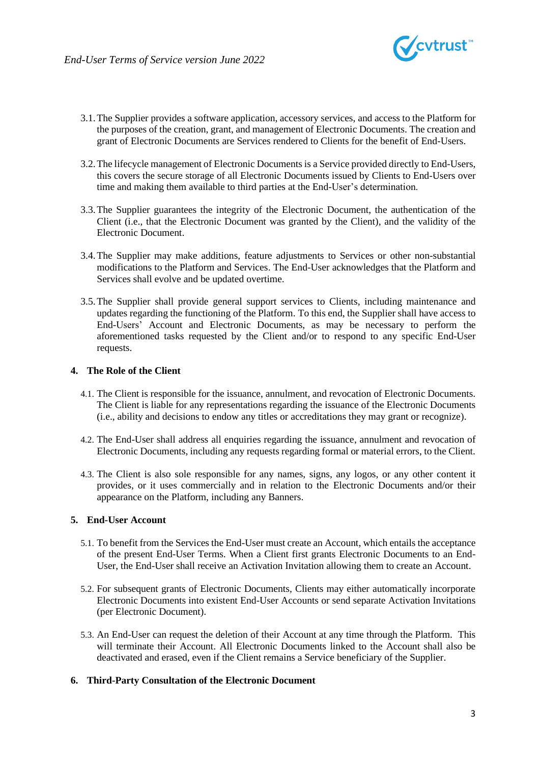

- 3.1.The Supplier provides a software application, accessory services, and access to the Platform for the purposes of the creation, grant, and management of Electronic Documents. The creation and grant of Electronic Documents are Services rendered to Clients for the benefit of End-Users.
- 3.2.The lifecycle management of Electronic Documents is a Service provided directly to End-Users, this covers the secure storage of all Electronic Documents issued by Clients to End-Users over time and making them available to third parties at the End-User's determination.
- 3.3.The Supplier guarantees the integrity of the Electronic Document, the authentication of the Client (i.e., that the Electronic Document was granted by the Client), and the validity of the Electronic Document.
- 3.4.The Supplier may make additions, feature adjustments to Services or other non-substantial modifications to the Platform and Services. The End-User acknowledges that the Platform and Services shall evolve and be updated overtime.
- 3.5.The Supplier shall provide general support services to Clients, including maintenance and updates regarding the functioning of the Platform. To this end, the Supplier shall have access to End-Users' Account and Electronic Documents, as may be necessary to perform the aforementioned tasks requested by the Client and/or to respond to any specific End-User requests.

### **4. The Role of the Client**

- 4.1. The Client is responsible for the issuance, annulment, and revocation of Electronic Documents. The Client is liable for any representations regarding the issuance of the Electronic Documents (i.e., ability and decisions to endow any titles or accreditations they may grant or recognize).
- 4.2. The End-User shall address all enquiries regarding the issuance, annulment and revocation of Electronic Documents, including any requests regarding formal or material errors, to the Client.
- 4.3. The Client is also sole responsible for any names, signs, any logos, or any other content it provides, or it uses commercially and in relation to the Electronic Documents and/or their appearance on the Platform, including any Banners.

#### **5. End-User Account**

- 5.1. To benefit from the Services the End-User must create an Account, which entails the acceptance of the present End-User Terms. When a Client first grants Electronic Documents to an End-User, the End-User shall receive an Activation Invitation allowing them to create an Account.
- 5.2. For subsequent grants of Electronic Documents, Clients may either automatically incorporate Electronic Documents into existent End-User Accounts or send separate Activation Invitations (per Electronic Document).
- 5.3. An End-User can request the deletion of their Account at any time through the Platform. This will terminate their Account. All Electronic Documents linked to the Account shall also be deactivated and erased, even if the Client remains a Service beneficiary of the Supplier.

## **6. Third-Party Consultation of the Electronic Document**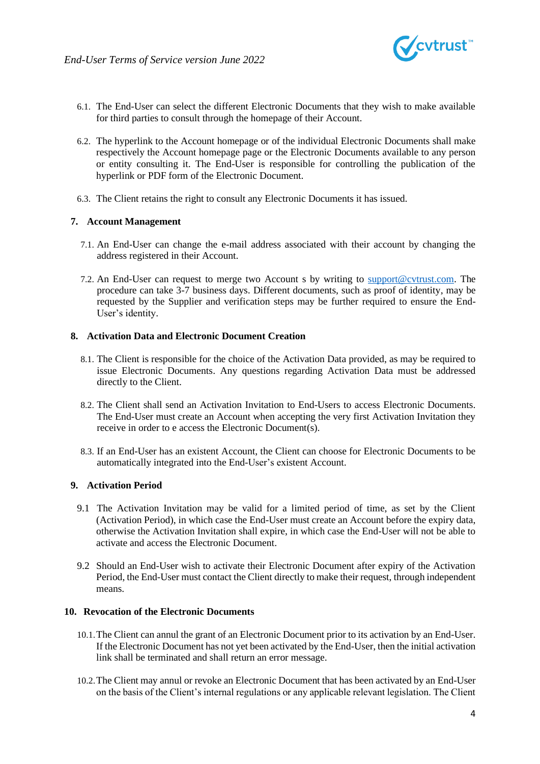

- 6.1. The End-User can select the different Electronic Documents that they wish to make available for third parties to consult through the homepage of their Account.
- 6.2. The hyperlink to the Account homepage or of the individual Electronic Documents shall make respectively the Account homepage page or the Electronic Documents available to any person or entity consulting it. The End-User is responsible for controlling the publication of the hyperlink or PDF form of the Electronic Document.
- 6.3. The Client retains the right to consult any Electronic Documents it has issued.

#### **7. Account Management**

- 7.1. An End-User can change the e-mail address associated with their account by changing the address registered in their Account.
- 7.2. An End-User can request to merge two Account s by writing to [support@cvtrust.com.](mailto:support@cvtrust.com) The procedure can take 3-7 business days. Different documents, such as proof of identity, may be requested by the Supplier and verification steps may be further required to ensure the End-User's identity.

### **8. Activation Data and Electronic Document Creation**

- 8.1. The Client is responsible for the choice of the Activation Data provided, as may be required to issue Electronic Documents. Any questions regarding Activation Data must be addressed directly to the Client.
- 8.2. The Client shall send an Activation Invitation to End-Users to access Electronic Documents. The End-User must create an Account when accepting the very first Activation Invitation they receive in order to e access the Electronic Document(s).
- 8.3. If an End-User has an existent Account, the Client can choose for Electronic Documents to be automatically integrated into the End-User's existent Account.

## **9. Activation Period**

- 9.1 The Activation Invitation may be valid for a limited period of time, as set by the Client (Activation Period), in which case the End-User must create an Account before the expiry data, otherwise the Activation Invitation shall expire, in which case the End-User will not be able to activate and access the Electronic Document.
- 9.2 Should an End-User wish to activate their Electronic Document after expiry of the Activation Period, the End-User must contact the Client directly to make their request, through independent means.

#### **10. Revocation of the Electronic Documents**

- 10.1.The Client can annul the grant of an Electronic Document prior to its activation by an End-User. If the Electronic Document has not yet been activated by the End-User, then the initial activation link shall be terminated and shall return an error message.
- 10.2.The Client may annul or revoke an Electronic Document that has been activated by an End-User on the basis of the Client's internal regulations or any applicable relevant legislation. The Client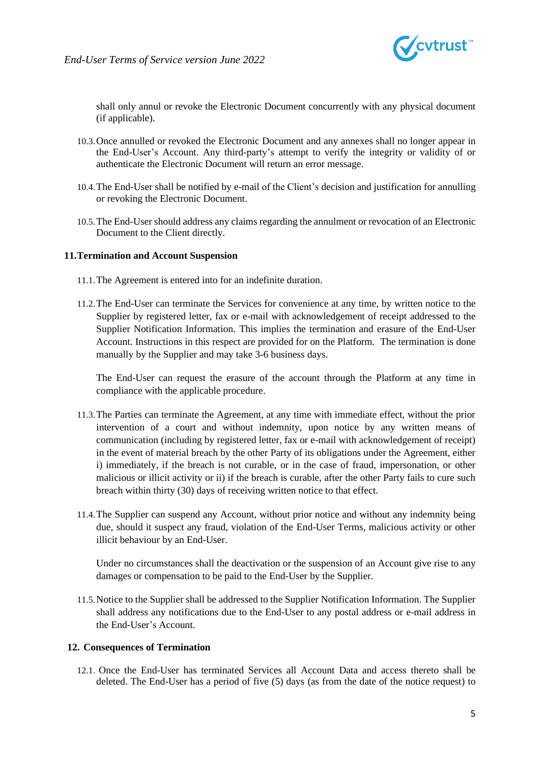

shall only annul or revoke the Electronic Document concurrently with any physical document (if applicable).

- 10.3.Once annulled or revoked the Electronic Document and any annexes shall no longer appear in the End-User's Account. Any third-party's attempt to verify the integrity or validity of or authenticate the Electronic Document will return an error message.
- 10.4.The End-User shall be notified by e-mail of the Client's decision and justification for annulling or revoking the Electronic Document.
- 10.5.The End-User should address any claims regarding the annulment or revocation of an Electronic Document to the Client directly.

#### **11.Termination and Account Suspension**

- 11.1.The Agreement is entered into for an indefinite duration.
- 11.2.The End-User can terminate the Services for convenience at any time, by written notice to the Supplier by registered letter, fax or e-mail with acknowledgement of receipt addressed to the Supplier Notification Information. This implies the termination and erasure of the End-User Account. Instructions in this respect are provided for on the Platform. The termination is done manually by the Supplier and may take 3-6 business days.

The End-User can request the erasure of the account through the Platform at any time in compliance with the applicable procedure.

- 11.3.The Parties can terminate the Agreement, at any time with immediate effect, without the prior intervention of a court and without indemnity, upon notice by any written means of communication (including by registered letter, fax or e-mail with acknowledgement of receipt) in the event of material breach by the other Party of its obligations under the Agreement, either i) immediately, if the breach is not curable, or in the case of fraud, impersonation, or other malicious or illicit activity or ii) if the breach is curable, after the other Party fails to cure such breach within thirty (30) days of receiving written notice to that effect.
- 11.4.The Supplier can suspend any Account, without prior notice and without any indemnity being due, should it suspect any fraud, violation of the End-User Terms, malicious activity or other illicit behaviour by an End-User.

Under no circumstances shall the deactivation or the suspension of an Account give rise to any damages or compensation to be paid to the End-User by the Supplier.

11.5.Notice to the Supplier shall be addressed to the Supplier Notification Information. The Supplier shall address any notifications due to the End-User to any postal address or e-mail address in the End-User's Account.

#### **12. Consequences of Termination**

12.1. Once the End-User has terminated Services all Account Data and access thereto shall be deleted. The End-User has a period of five (5) days (as from the date of the notice request) to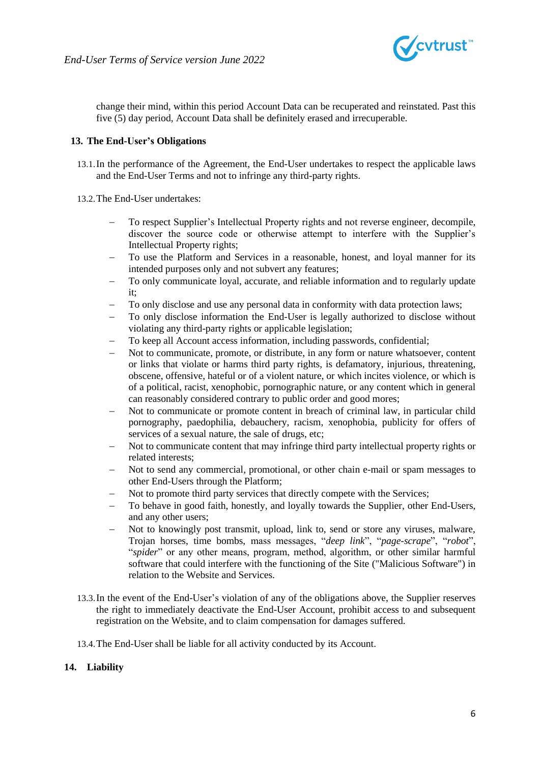

change their mind, within this period Account Data can be recuperated and reinstated. Past this five (5) day period, Account Data shall be definitely erased and irrecuperable.

#### **13. The End-User's Obligations**

13.1.In the performance of the Agreement, the End-User undertakes to respect the applicable laws and the End-User Terms and not to infringe any third-party rights.

13.2.The End-User undertakes:

- To respect Supplier's Intellectual Property rights and not reverse engineer, decompile, discover the source code or otherwise attempt to interfere with the Supplier's Intellectual Property rights;
- − To use the Platform and Services in a reasonable, honest, and loyal manner for its intended purposes only and not subvert any features;
- − To only communicate loyal, accurate, and reliable information and to regularly update it;
- To only disclose and use any personal data in conformity with data protection laws;
- − To only disclose information the End-User is legally authorized to disclose without violating any third-party rights or applicable legislation;
- To keep all Account access information, including passwords, confidential;
- Not to communicate, promote, or distribute, in any form or nature whatsoever, content or links that violate or harms third party rights, is defamatory, injurious, threatening, obscene, offensive, hateful or of a violent nature, or which incites violence, or which is of a political, racist, xenophobic, pornographic nature, or any content which in general can reasonably considered contrary to public order and good mores;
- − Not to communicate or promote content in breach of criminal law, in particular child pornography, paedophilia, debauchery, racism, xenophobia, publicity for offers of services of a sexual nature, the sale of drugs, etc;
- Not to communicate content that may infringe third party intellectual property rights or related interests;
- − Not to send any commercial, promotional, or other chain e-mail or spam messages to other End-Users through the Platform;
- Not to promote third party services that directly compete with the Services;
- To behave in good faith, honestly, and loyally towards the Supplier, other End-Users, and any other users;
- Not to knowingly post transmit, upload, link to, send or store any viruses, malware, Trojan horses, time bombs, mass messages, "*deep link*", "*page-scrape*", "*robot*", "*spider*" or any other means, program, method, algorithm, or other similar harmful software that could interfere with the functioning of the Site ("Malicious Software") in relation to the Website and Services.
- 13.3.In the event of the End-User's violation of any of the obligations above, the Supplier reserves the right to immediately deactivate the End-User Account, prohibit access to and subsequent registration on the Website, and to claim compensation for damages suffered.

13.4.The End-User shall be liable for all activity conducted by its Account.

#### **14. Liability**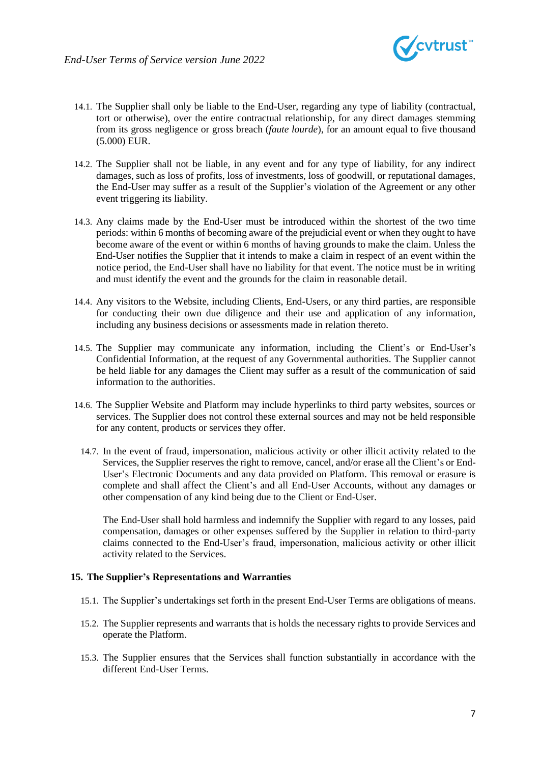

- 14.1. The Supplier shall only be liable to the End-User, regarding any type of liability (contractual, tort or otherwise), over the entire contractual relationship, for any direct damages stemming from its gross negligence or gross breach (*faute lourde*), for an amount equal to five thousand (5.000) EUR.
- 14.2. The Supplier shall not be liable, in any event and for any type of liability, for any indirect damages, such as loss of profits, loss of investments, loss of goodwill, or reputational damages, the End-User may suffer as a result of the Supplier's violation of the Agreement or any other event triggering its liability.
- 14.3. Any claims made by the End-User must be introduced within the shortest of the two time periods: within 6 months of becoming aware of the prejudicial event or when they ought to have become aware of the event or within 6 months of having grounds to make the claim. Unless the End-User notifies the Supplier that it intends to make a claim in respect of an event within the notice period, the End-User shall have no liability for that event. The notice must be in writing and must identify the event and the grounds for the claim in reasonable detail.
- 14.4. Any visitors to the Website, including Clients, End-Users, or any third parties, are responsible for conducting their own due diligence and their use and application of any information, including any business decisions or assessments made in relation thereto.
- 14.5. The Supplier may communicate any information, including the Client's or End-User's Confidential Information, at the request of any Governmental authorities. The Supplier cannot be held liable for any damages the Client may suffer as a result of the communication of said information to the authorities.
- 14.6. The Supplier Website and Platform may include hyperlinks to third party websites, sources or services. The Supplier does not control these external sources and may not be held responsible for any content, products or services they offer.
	- 14.7. In the event of fraud, impersonation, malicious activity or other illicit activity related to the Services, the Supplier reserves the right to remove, cancel, and/or erase all the Client's or End-User's Electronic Documents and any data provided on Platform. This removal or erasure is complete and shall affect the Client's and all End-User Accounts, without any damages or other compensation of any kind being due to the Client or End-User.

The End-User shall hold harmless and indemnify the Supplier with regard to any losses, paid compensation, damages or other expenses suffered by the Supplier in relation to third-party claims connected to the End-User's fraud, impersonation, malicious activity or other illicit activity related to the Services.

#### **15. The Supplier's Representations and Warranties**

- 15.1. The Supplier's undertakings set forth in the present End-User Terms are obligations of means.
- 15.2. The Supplier represents and warrants that is holds the necessary rights to provide Services and operate the Platform.
- 15.3. The Supplier ensures that the Services shall function substantially in accordance with the different End-User Terms.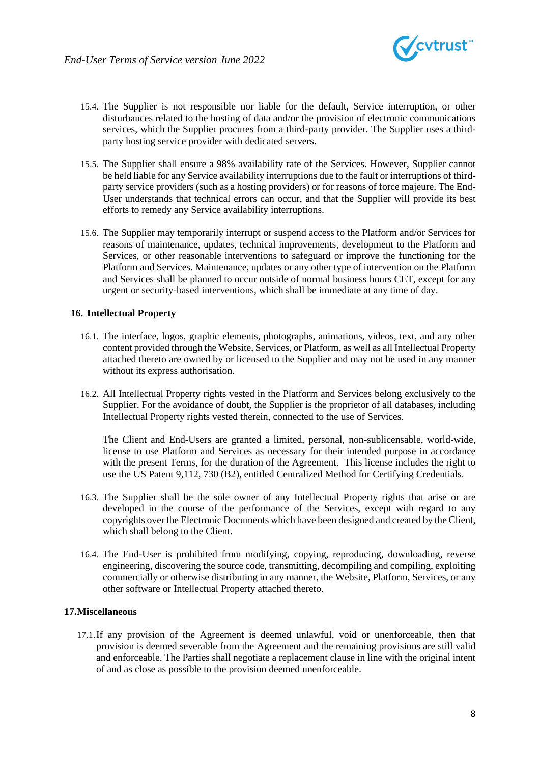

- 15.4. The Supplier is not responsible nor liable for the default, Service interruption, or other disturbances related to the hosting of data and/or the provision of electronic communications services, which the Supplier procures from a third-party provider. The Supplier uses a thirdparty hosting service provider with dedicated servers.
- 15.5. The Supplier shall ensure a 98% availability rate of the Services. However, Supplier cannot be held liable for any Service availability interruptions due to the fault or interruptions of thirdparty service providers (such as a hosting providers) or for reasons of force majeure. The End-User understands that technical errors can occur, and that the Supplier will provide its best efforts to remedy any Service availability interruptions.
- 15.6. The Supplier may temporarily interrupt or suspend access to the Platform and/or Services for reasons of maintenance, updates, technical improvements, development to the Platform and Services, or other reasonable interventions to safeguard or improve the functioning for the Platform and Services. Maintenance, updates or any other type of intervention on the Platform and Services shall be planned to occur outside of normal business hours CET, except for any urgent or security-based interventions, which shall be immediate at any time of day.

#### **16. Intellectual Property**

- 16.1. The interface, logos, graphic elements, photographs, animations, videos, text, and any other content provided through the Website, Services, or Platform, as well as all Intellectual Property attached thereto are owned by or licensed to the Supplier and may not be used in any manner without its express authorisation.
- 16.2. All Intellectual Property rights vested in the Platform and Services belong exclusively to the Supplier. For the avoidance of doubt, the Supplier is the proprietor of all databases, including Intellectual Property rights vested therein, connected to the use of Services.

The Client and End-Users are granted a limited, personal, non-sublicensable, world-wide, license to use Platform and Services as necessary for their intended purpose in accordance with the present Terms, for the duration of the Agreement. This license includes the right to use the US Patent 9,112, 730 (B2), entitled Centralized Method for Certifying Credentials.

- 16.3. The Supplier shall be the sole owner of any Intellectual Property rights that arise or are developed in the course of the performance of the Services, except with regard to any copyrights over the Electronic Documents which have been designed and created by the Client, which shall belong to the Client.
- 16.4. The End-User is prohibited from modifying, copying, reproducing, downloading, reverse engineering, discovering the source code, transmitting, decompiling and compiling, exploiting commercially or otherwise distributing in any manner, the Website, Platform, Services, or any other software or Intellectual Property attached thereto.

#### **17.Miscellaneous**

17.1.If any provision of the Agreement is deemed unlawful, void or unenforceable, then that provision is deemed severable from the Agreement and the remaining provisions are still valid and enforceable. The Parties shall negotiate a replacement clause in line with the original intent of and as close as possible to the provision deemed unenforceable.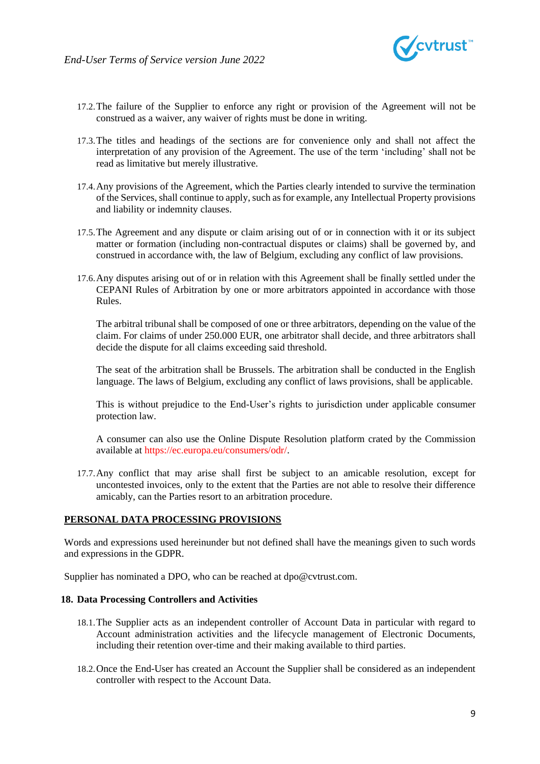

- 17.2.The failure of the Supplier to enforce any right or provision of the Agreement will not be construed as a waiver, any waiver of rights must be done in writing.
- 17.3.The titles and headings of the sections are for convenience only and shall not affect the interpretation of any provision of the Agreement. The use of the term 'including' shall not be read as limitative but merely illustrative.
- 17.4.Any provisions of the Agreement, which the Parties clearly intended to survive the termination of the Services, shall continue to apply, such as for example, any Intellectual Property provisions and liability or indemnity clauses.
- 17.5.The Agreement and any dispute or claim arising out of or in connection with it or its subject matter or formation (including non-contractual disputes or claims) shall be governed by, and construed in accordance with, the law of Belgium, excluding any conflict of law provisions.
- 17.6.Any disputes arising out of or in relation with this Agreement shall be finally settled under the CEPANI Rules of Arbitration by one or more arbitrators appointed in accordance with those Rules.

The arbitral tribunal shall be composed of one or three arbitrators, depending on the value of the claim. For claims of under 250.000 EUR, one arbitrator shall decide, and three arbitrators shall decide the dispute for all claims exceeding said threshold.

The seat of the arbitration shall be Brussels. The arbitration shall be conducted in the English language. The laws of Belgium, excluding any conflict of laws provisions, shall be applicable.

This is without prejudice to the End-User's rights to jurisdiction under applicable consumer protection law.

A consumer can also use the Online Dispute Resolution platform crated by the Commission available at https://ec.europa.eu/consumers/odr/.

17.7.Any conflict that may arise shall first be subject to an amicable resolution, except for uncontested invoices, only to the extent that the Parties are not able to resolve their difference amicably, can the Parties resort to an arbitration procedure.

## **PERSONAL DATA PROCESSING PROVISIONS**

Words and expressions used hereinunder but not defined shall have the meanings given to such words and expressions in the GDPR.

Supplier has nominated a DPO, who can be reached at dpo@cvtrust.com.

#### **18. Data Processing Controllers and Activities**

- 18.1.The Supplier acts as an independent controller of Account Data in particular with regard to Account administration activities and the lifecycle management of Electronic Documents, including their retention over-time and their making available to third parties.
- 18.2.Once the End-User has created an Account the Supplier shall be considered as an independent controller with respect to the Account Data.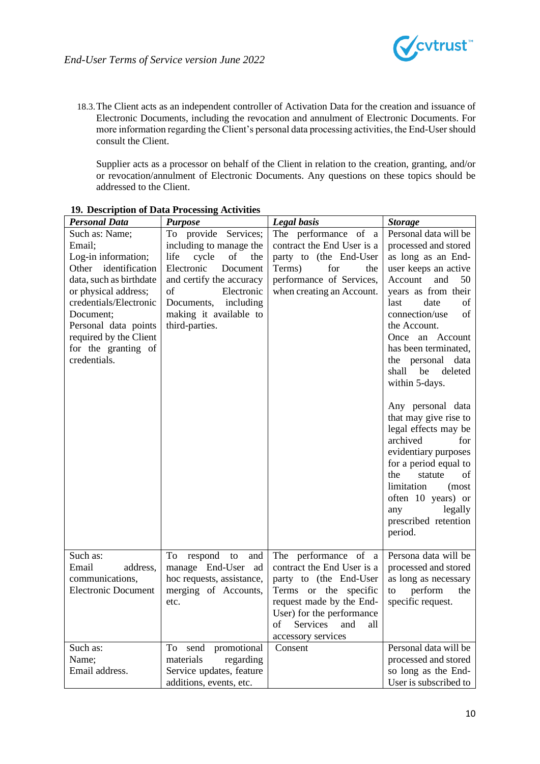

18.3.The Client acts as an independent controller of Activation Data for the creation and issuance of Electronic Documents, including the revocation and annulment of Electronic Documents. For more information regarding the Client's personal data processing activities, the End-User should consult the Client.

Supplier acts as a processor on behalf of the Client in relation to the creation, granting, and/or or revocation/annulment of Electronic Documents. Any questions on these topics should be addressed to the Client.

| <b>Personal Data</b>       | <b>Purpose</b>             | <b>Legal</b> basis                                 | <b>Storage</b>                                                                                                                                                                                                                                                   |
|----------------------------|----------------------------|----------------------------------------------------|------------------------------------------------------------------------------------------------------------------------------------------------------------------------------------------------------------------------------------------------------------------|
| Such as: Name;             | To provide Services;       | The performance of a                               | Personal data will be                                                                                                                                                                                                                                            |
| Email;                     | including to manage the    | contract the End User is a                         | processed and stored                                                                                                                                                                                                                                             |
| Log-in information;        | life<br>cycle<br>οf<br>the | party to (the End-User                             | as long as an End-                                                                                                                                                                                                                                               |
| Other<br>identification    | Electronic<br>Document     | Terms)<br>for<br>the                               | user keeps an active                                                                                                                                                                                                                                             |
| data, such as birthdate    | and certify the accuracy   | performance of Services,                           | Account<br>50<br>and                                                                                                                                                                                                                                             |
| or physical address;       | of<br>Electronic           | when creating an Account.                          | years as from their                                                                                                                                                                                                                                              |
| credentials/Electronic     | Documents, including       |                                                    | last<br>date<br>of                                                                                                                                                                                                                                               |
| Document;                  | making it available to     |                                                    | connection/use<br>of                                                                                                                                                                                                                                             |
| Personal data points       | third-parties.             |                                                    | the Account.                                                                                                                                                                                                                                                     |
| required by the Client     |                            |                                                    | Once an Account                                                                                                                                                                                                                                                  |
| for the granting of        |                            |                                                    | has been terminated,                                                                                                                                                                                                                                             |
| credentials.               |                            |                                                    | the personal data                                                                                                                                                                                                                                                |
|                            |                            |                                                    | shall<br>be<br>deleted                                                                                                                                                                                                                                           |
|                            |                            |                                                    | within 5-days.                                                                                                                                                                                                                                                   |
|                            |                            |                                                    | Any personal data<br>that may give rise to<br>legal effects may be<br>archived<br>for<br>evidentiary purposes<br>for a period equal to<br>the<br>statute<br>οf<br>limitation<br>(most<br>often 10 years) or<br>legally<br>any<br>prescribed retention<br>period. |
| Such as:                   | To<br>respond to<br>and    | The performance of a                               | Persona data will be                                                                                                                                                                                                                                             |
| Email<br>address,          | manage End-User<br>ad      | contract the End User is a                         | processed and stored                                                                                                                                                                                                                                             |
| communications,            | hoc requests, assistance,  | party to (the End-User                             | as long as necessary                                                                                                                                                                                                                                             |
| <b>Electronic Document</b> | merging of Accounts,       | Terms or the specific                              | perform<br>the<br>to                                                                                                                                                                                                                                             |
|                            | etc.                       | request made by the End-                           | specific request.                                                                                                                                                                                                                                                |
|                            |                            | User) for the performance                          |                                                                                                                                                                                                                                                                  |
|                            |                            | Services<br>of<br>and<br>all<br>accessory services |                                                                                                                                                                                                                                                                  |
| Such as:                   | promotional<br>send<br>To  | Consent                                            | Personal data will be                                                                                                                                                                                                                                            |
| Name;                      | materials<br>regarding     |                                                    | processed and stored                                                                                                                                                                                                                                             |
| Email address.             | Service updates, feature   |                                                    | so long as the End-                                                                                                                                                                                                                                              |
|                            | additions, events, etc.    |                                                    | User is subscribed to                                                                                                                                                                                                                                            |

#### **19. Description of Data Processing Activities**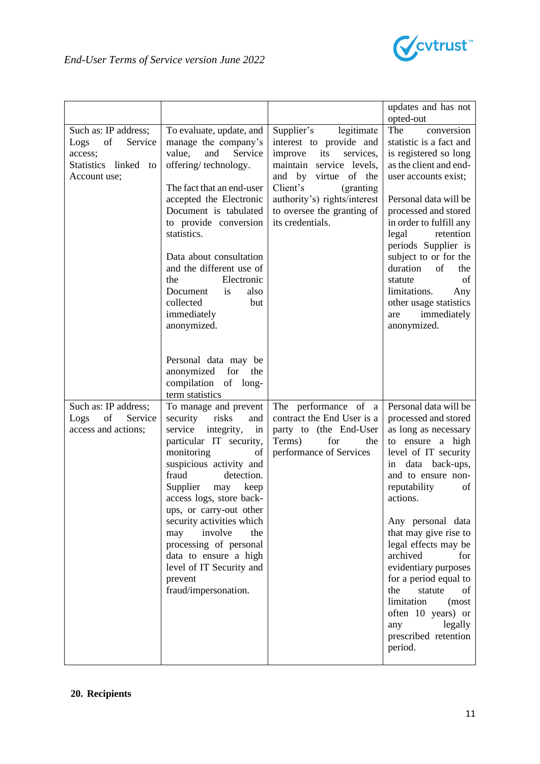

|                         |                             |                              | updates and has not     |
|-------------------------|-----------------------------|------------------------------|-------------------------|
|                         |                             |                              | opted-out               |
| Such as: IP address;    | To evaluate, update, and    | Supplier's<br>legitimate     | The<br>conversion       |
| of<br>Service<br>Logs   | manage the company's        | interest to provide and      | statistic is a fact and |
| access;                 | value,<br>and<br>Service    | improve<br>its<br>services,  | is registered so long   |
| Statistics linked<br>to | offering/technology.        | maintain service levels,     | as the client and end-  |
| Account use;            |                             | and<br>by<br>virtue of the   | user accounts exist;    |
|                         | The fact that an end-user   | Client's<br>(granting)       |                         |
|                         | accepted the Electronic     | authority's) rights/interest | Personal data will be   |
|                         | Document is tabulated       | to oversee the granting of   | processed and stored    |
|                         | to provide conversion       | its credentials.             | in order to fulfill any |
|                         | statistics.                 |                              | legal<br>retention      |
|                         |                             |                              | periods Supplier is     |
|                         | Data about consultation     |                              | subject to or for the   |
|                         | and the different use of    |                              | duration<br>of<br>the   |
|                         | the<br>Electronic           |                              | of<br>statute           |
|                         | is<br>also<br>Document      |                              | limitations.<br>Any     |
|                         | collected<br>but            |                              | other usage statistics  |
|                         | immediately                 |                              | immediately<br>are      |
|                         | anonymized.                 |                              | anonymized.             |
|                         |                             |                              |                         |
|                         |                             |                              |                         |
|                         | Personal data may be        |                              |                         |
|                         | anonymized<br>for<br>the    |                              |                         |
|                         | compilation of long-        |                              |                         |
|                         | term statistics             |                              |                         |
| Such as: IP address;    | To manage and prevent       | The performance of a         | Personal data will be   |
| of<br>Service<br>Logs   | security<br>risks<br>and    | contract the End User is a   | processed and stored    |
| access and actions;     | service<br>integrity,<br>in | party to (the End-User       | as long as necessary    |
|                         | particular IT security,     | Terms)<br>for<br>the         | to ensure<br>a high     |
|                         | monitoring<br>of            | performance of Services      | level of IT security    |
|                         | suspicious activity and     |                              | data back-ups,<br>1n    |
|                         | fraud<br>detection.         |                              | and to ensure non-      |
|                         | Supplier<br>keep<br>may     |                              | reputability<br>of      |
|                         | access logs, store back-    |                              | actions.                |
|                         | ups, or carry-out other     |                              |                         |
|                         | security activities which   |                              | Any personal data       |
|                         | involve<br>the<br>may       |                              | that may give rise to   |
|                         | processing of personal      |                              | legal effects may be    |
|                         | data to ensure a high       |                              | archived<br>for         |
|                         | level of IT Security and    |                              | evidentiary purposes    |
|                         | prevent                     |                              | for a period equal to   |
|                         | fraud/impersonation.        |                              | the<br>statute<br>of    |
|                         |                             |                              | limitation<br>(most     |
|                         |                             |                              | often 10 years) or      |
|                         |                             |                              | legally<br>any          |
|                         |                             |                              | prescribed retention    |
|                         |                             |                              | period.                 |
|                         |                             |                              |                         |